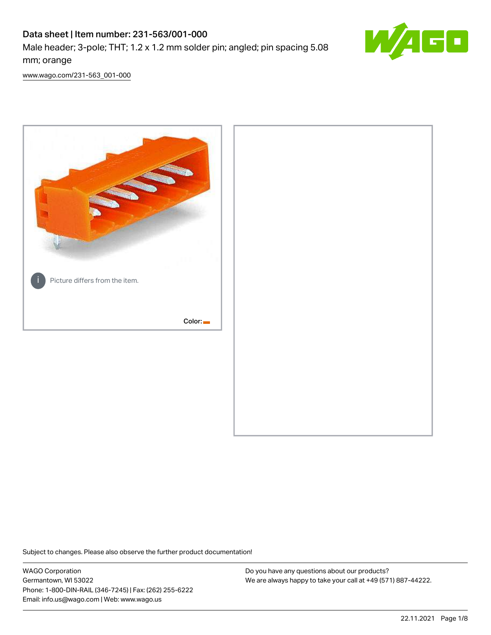# Data sheet | Item number: 231-563/001-000

Male header; 3-pole; THT; 1.2 x 1.2 mm solder pin; angled; pin spacing 5.08 mm; orange



[www.wago.com/231-563\\_001-000](http://www.wago.com/231-563_001-000)



Subject to changes. Please also observe the further product documentation!

WAGO Corporation Germantown, WI 53022 Phone: 1-800-DIN-RAIL (346-7245) | Fax: (262) 255-6222 Email: info.us@wago.com | Web: www.wago.us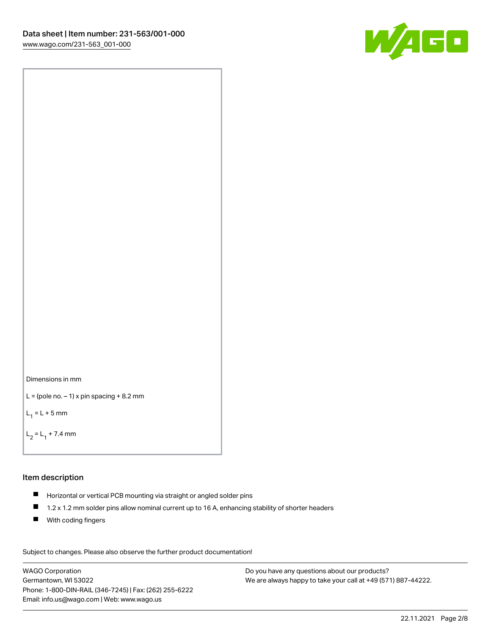



```
L = (pole no. -1) x pin spacing +8.2 mm
```
 $L_1 = L + 5$  mm

```
L_2 = L_1 + 7.4 mm
```
#### Item description

- Horizontal or vertical PCB mounting via straight or angled solder pins
- $\blacksquare$ 1.2 x 1.2 mm solder pins allow nominal current up to 16 A, enhancing stability of shorter headers
- **With coding fingers**

Subject to changes. Please also observe the further product documentation! Data

WAGO Corporation Germantown, WI 53022 Phone: 1-800-DIN-RAIL (346-7245) | Fax: (262) 255-6222 Email: info.us@wago.com | Web: www.wago.us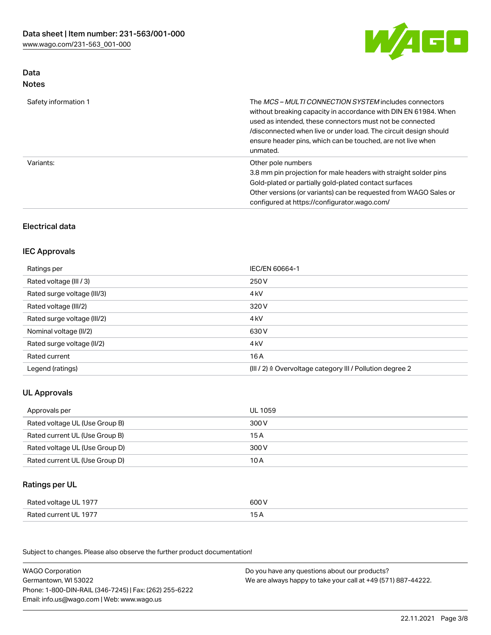

#### Data Notes

| Safety information 1 | The <i>MCS – MULTI CONNECTION SYSTEM</i> includes connectors<br>without breaking capacity in accordance with DIN EN 61984. When<br>used as intended, these connectors must not be connected<br>/disconnected when live or under load. The circuit design should<br>ensure header pins, which can be touched, are not live when<br>unmated. |
|----------------------|--------------------------------------------------------------------------------------------------------------------------------------------------------------------------------------------------------------------------------------------------------------------------------------------------------------------------------------------|
| Variants:            | Other pole numbers<br>3.8 mm pin projection for male headers with straight solder pins<br>Gold-plated or partially gold-plated contact surfaces<br>Other versions (or variants) can be requested from WAGO Sales or<br>configured at https://configurator.wago.com/                                                                        |

# Electrical data

# IEC Approvals

| Ratings per                 | IEC/EN 60664-1                                                        |
|-----------------------------|-----------------------------------------------------------------------|
| Rated voltage (III / 3)     | 250 V                                                                 |
| Rated surge voltage (III/3) | 4 <sub>k</sub> V                                                      |
| Rated voltage (III/2)       | 320 V                                                                 |
| Rated surge voltage (III/2) | 4 <sub>kV</sub>                                                       |
| Nominal voltage (II/2)      | 630 V                                                                 |
| Rated surge voltage (II/2)  | 4 <sub>k</sub> V                                                      |
| Rated current               | 16A                                                                   |
| Legend (ratings)            | $(III / 2)$ $\triangle$ Overvoltage category III / Pollution degree 2 |

# UL Approvals

| Approvals per                  | UL 1059 |
|--------------------------------|---------|
| Rated voltage UL (Use Group B) | 300 V   |
| Rated current UL (Use Group B) | 15 A    |
| Rated voltage UL (Use Group D) | 300 V   |
| Rated current UL (Use Group D) | 10 A    |

### Ratings per UL

| Rated voltage UL 1977 | 600 V |
|-----------------------|-------|
| Rated current UL 1977 |       |

Subject to changes. Please also observe the further product documentation!

| <b>WAGO Corporation</b>                                | Do you have any questions about our products?                 |
|--------------------------------------------------------|---------------------------------------------------------------|
| Germantown, WI 53022                                   | We are always happy to take your call at +49 (571) 887-44222. |
| Phone: 1-800-DIN-RAIL (346-7245)   Fax: (262) 255-6222 |                                                               |
| Email: info.us@wago.com   Web: www.wago.us             |                                                               |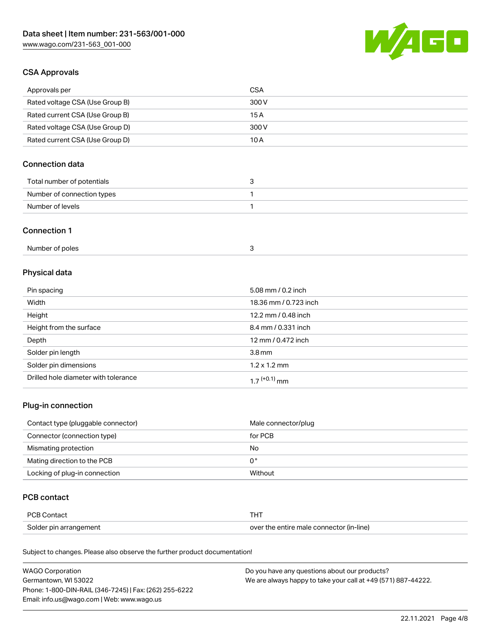

# CSA Approvals

| Approvals per                   | CSA   |
|---------------------------------|-------|
| Rated voltage CSA (Use Group B) | 300 V |
| Rated current CSA (Use Group B) | 15 A  |
| Rated voltage CSA (Use Group D) | 300 V |
| Rated current CSA (Use Group D) | 10 A  |

# Connection data

| Total number of potentials |  |
|----------------------------|--|
| Number of connection types |  |
| Number of levels           |  |

#### Connection 1

| Number of poles |  |
|-----------------|--|
|-----------------|--|

# Physical data

| Pin spacing                          | 5.08 mm / 0.2 inch    |
|--------------------------------------|-----------------------|
| Width                                | 18.36 mm / 0.723 inch |
| Height                               | 12.2 mm / 0.48 inch   |
| Height from the surface              | 8.4 mm / 0.331 inch   |
| Depth                                | 12 mm / 0.472 inch    |
| Solder pin length                    | 3.8 <sub>mm</sub>     |
| Solder pin dimensions                | $1.2 \times 1.2$ mm   |
| Drilled hole diameter with tolerance | $17^{(+0.1)}$ mm      |

# Plug-in connection

| Contact type (pluggable connector) | Male connector/plug |
|------------------------------------|---------------------|
| Connector (connection type)        | for PCB             |
| Mismating protection               | No                  |
| Mating direction to the PCB        | 0°                  |
| Locking of plug-in connection      | Without             |

#### PCB contact

| <b>PCB Contact</b>     |                                          |
|------------------------|------------------------------------------|
| Solder pin arrangement | over the entire male connector (in-line) |

Subject to changes. Please also observe the further product documentation!

| <b>WAGO Corporation</b>                                | Do you have any questions about our products?                 |
|--------------------------------------------------------|---------------------------------------------------------------|
| Germantown, WI 53022                                   | We are always happy to take your call at +49 (571) 887-44222. |
| Phone: 1-800-DIN-RAIL (346-7245)   Fax: (262) 255-6222 |                                                               |
| Email: info.us@wago.com   Web: www.wago.us             |                                                               |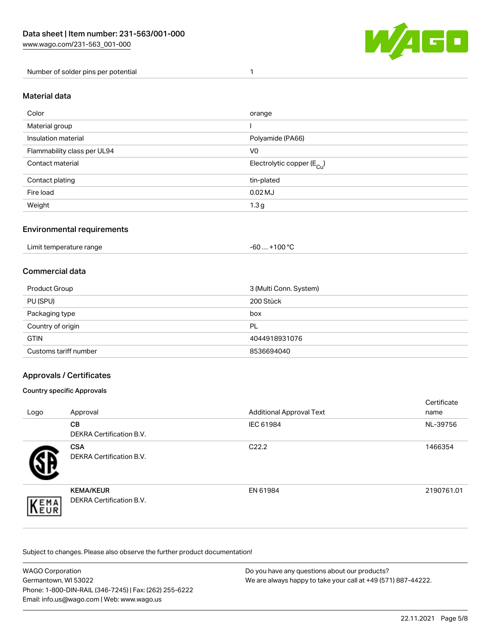

Number of solder pins per potential 1

#### Material data

| Color                       | orange                                 |
|-----------------------------|----------------------------------------|
| Material group              |                                        |
| Insulation material         | Polyamide (PA66)                       |
| Flammability class per UL94 | V <sub>0</sub>                         |
| Contact material            | Electrolytic copper (E <sub>Cu</sub> ) |
| Contact plating             | tin-plated                             |
| Fire load                   | $0.02$ MJ                              |
| Weight                      | 1.3 <sub>g</sub>                       |

#### Environmental requirements

Limit temperature range  $-60... +100$  °C

#### Commercial data

| Product Group         | 3 (Multi Conn. System) |
|-----------------------|------------------------|
| PU (SPU)              | 200 Stück              |
| Packaging type        | box                    |
| Country of origin     | PL                     |
| <b>GTIN</b>           | 4044918931076          |
| Customs tariff number | 8536694040             |

#### Approvals / Certificates

#### Country specific Approvals

| Logo               | Approval                                            | <b>Additional Approval Text</b> | Certificate<br>name |
|--------------------|-----------------------------------------------------|---------------------------------|---------------------|
|                    | <b>CB</b><br><b>DEKRA Certification B.V.</b>        | IEC 61984                       | NL-39756            |
|                    | <b>CSA</b><br>DEKRA Certification B.V.              | C <sub>22.2</sub>               | 1466354             |
| EMA<br><b>NEUR</b> | <b>KEMA/KEUR</b><br><b>DEKRA Certification B.V.</b> | EN 61984                        | 2190761.01          |

Subject to changes. Please also observe the further product documentation!

| WAGO Corporation                                       | Do you have any questions about our products?                 |
|--------------------------------------------------------|---------------------------------------------------------------|
| Germantown, WI 53022                                   | We are always happy to take your call at +49 (571) 887-44222. |
| Phone: 1-800-DIN-RAIL (346-7245)   Fax: (262) 255-6222 |                                                               |
| Email: info.us@wago.com   Web: www.wago.us             |                                                               |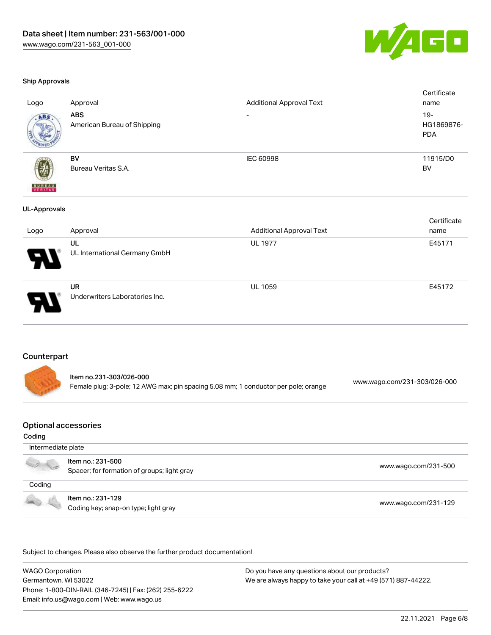

#### Ship Approvals

| Logo                     | Approval                                  | <b>Additional Approval Text</b> | Certificate<br>name                |
|--------------------------|-------------------------------------------|---------------------------------|------------------------------------|
| ABS                      | <b>ABS</b><br>American Bureau of Shipping | $\overline{\phantom{a}}$        | $19 -$<br>HG1869876-<br><b>PDA</b> |
| <b>BUREAU</b><br>VERITAS | BV<br>Bureau Veritas S.A.                 | IEC 60998                       | 11915/D0<br>BV                     |
| <b>UL-Approvals</b>      |                                           |                                 |                                    |
|                          |                                           |                                 | Certificate                        |
| Logo                     | Approval                                  | <b>Additional Approval Text</b> | name                               |
|                          | UL                                        | UL 1977                         | E45171                             |
|                          | UL International Germany GmbH             |                                 |                                    |
|                          | <b>UR</b>                                 | UL 1059                         | E45172                             |
|                          | Underwriters Laboratories Inc.            |                                 |                                    |
|                          |                                           |                                 |                                    |

#### Counterpart

| Item no.231-303/026-000                                                            |                              |
|------------------------------------------------------------------------------------|------------------------------|
| Female plug; 3-pole; 12 AWG max; pin spacing 5.08 mm; 1 conductor per pole; orange | www.wago.com/231-303/026-000 |

#### Optional accessories

#### Coding

| Intermediate plate                                                                                                                                                                                                                                                                                                                                  |                                                                  |                      |  |
|-----------------------------------------------------------------------------------------------------------------------------------------------------------------------------------------------------------------------------------------------------------------------------------------------------------------------------------------------------|------------------------------------------------------------------|----------------------|--|
| $\begin{picture}(100,20) \put(0,0){\line(1,0){10}} \put(10,0){\line(1,0){10}} \put(10,0){\line(1,0){10}} \put(10,0){\line(1,0){10}} \put(10,0){\line(1,0){10}} \put(10,0){\line(1,0){10}} \put(10,0){\line(1,0){10}} \put(10,0){\line(1,0){10}} \put(10,0){\line(1,0){10}} \put(10,0){\line(1,0){10}} \put(10,0){\line(1,0){10}} \put(10,0){\line($ | Item no.: 231-500<br>Spacer; for formation of groups; light gray | www.wago.com/231-500 |  |
| Coding                                                                                                                                                                                                                                                                                                                                              |                                                                  |                      |  |
| <b>Contract Contract Contract Contract Contract Contract Contract Contract Contract Contract Contract Contract Contract Contract Contract Contract Contract Contract Contract Contract Contract Contract Contract Contract Contr</b>                                                                                                                | Item no.: 231-129<br>Coding key; snap-on type; light gray        | www.wago.com/231-129 |  |

.<br>Subject to changes. Please also observe the further product documentation!

WAGO Corporation Germantown, WI 53022 Phone: 1-800-DIN-RAIL (346-7245) | Fax: (262) 255-6222 Email: info.us@wago.com | Web: www.wago.us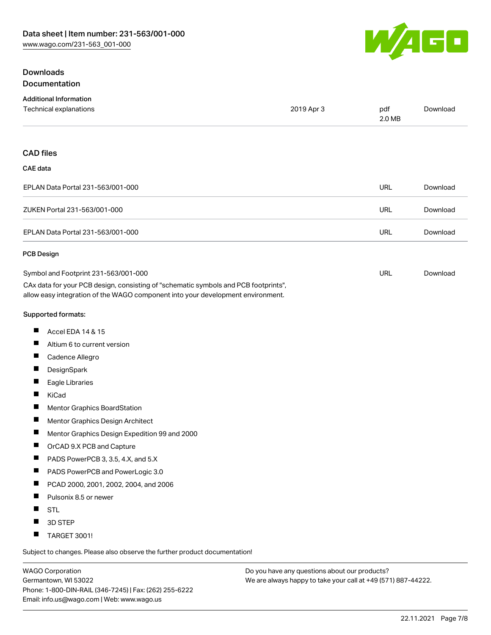# WAGO

# **Downloads** Documentation

| <b>Additional Information</b>                                                                                                                                          |            |               |          |
|------------------------------------------------------------------------------------------------------------------------------------------------------------------------|------------|---------------|----------|
| Technical explanations                                                                                                                                                 | 2019 Apr 3 | pdf<br>2.0 MB | Download |
| <b>CAD files</b>                                                                                                                                                       |            |               |          |
| <b>CAE</b> data                                                                                                                                                        |            |               |          |
| EPLAN Data Portal 231-563/001-000                                                                                                                                      |            | <b>URL</b>    | Download |
| ZUKEN Portal 231-563/001-000                                                                                                                                           |            | <b>URL</b>    | Download |
| EPLAN Data Portal 231-563/001-000                                                                                                                                      |            | <b>URL</b>    | Download |
| <b>PCB Design</b>                                                                                                                                                      |            |               |          |
| Symbol and Footprint 231-563/001-000                                                                                                                                   |            | <b>URL</b>    | Download |
| CAx data for your PCB design, consisting of "schematic symbols and PCB footprints",<br>allow easy integration of the WAGO component into your development environment. |            |               |          |
| Supported formats:                                                                                                                                                     |            |               |          |
| Accel EDA 14 & 15<br>ш                                                                                                                                                 |            |               |          |
| Ш<br>Altium 6 to current version                                                                                                                                       |            |               |          |
| ш<br>Cadence Allegro                                                                                                                                                   |            |               |          |
| ш<br>DesignSpark                                                                                                                                                       |            |               |          |
| Ш<br>Eagle Libraries                                                                                                                                                   |            |               |          |
| ш<br>KiCad                                                                                                                                                             |            |               |          |
| ш<br>Mentor Graphics BoardStation                                                                                                                                      |            |               |          |
| ш<br>Mentor Graphics Design Architect                                                                                                                                  |            |               |          |
| Ш<br>Mentor Graphics Design Expedition 99 and 2000                                                                                                                     |            |               |          |
| ш<br>OrCAD 9.X PCB and Capture                                                                                                                                         |            |               |          |
| ш<br>PADS PowerPCB 3, 3.5, 4.X, and 5.X                                                                                                                                |            |               |          |
| П<br>PADS PowerPCB and PowerLogic 3.0                                                                                                                                  |            |               |          |
| Ш<br>PCAD 2000, 2001, 2002, 2004, and 2006                                                                                                                             |            |               |          |
| ш<br>Pulsonix 8.5 or newer                                                                                                                                             |            |               |          |
| Ш<br><b>STL</b>                                                                                                                                                        |            |               |          |
| 3D STEP                                                                                                                                                                |            |               |          |
| ш<br>TARGET 3001!                                                                                                                                                      |            |               |          |

Subject to changes. Please also observe the further product documentation!

WAGO Corporation Germantown, WI 53022 Phone: 1-800-DIN-RAIL (346-7245) | Fax: (262) 255-6222 Email: info.us@wago.com | Web: www.wago.us